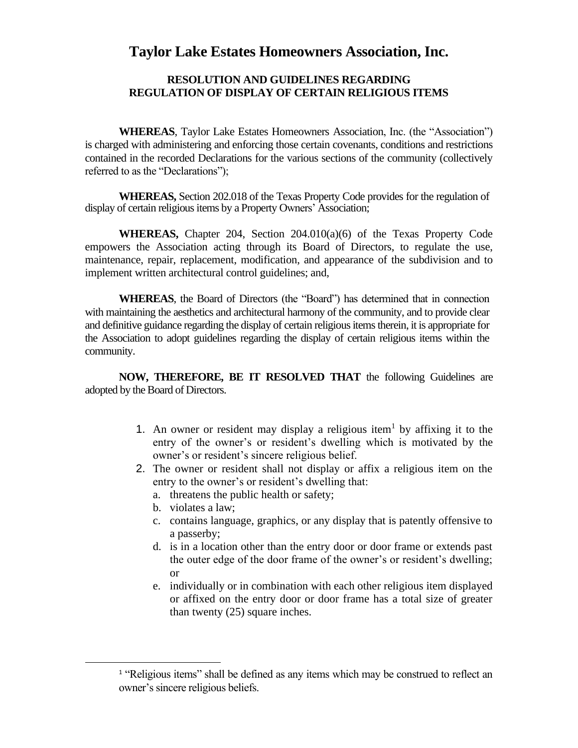## **Taylor Lake Estates Homeowners Association, Inc.**

## **RESOLUTION AND GUIDELINES REGARDING REGULATION OF DISPLAY OF CERTAIN RELIGIOUS ITEMS**

**WHEREAS**, Taylor Lake Estates Homeowners Association, Inc. (the "Association") is charged with administering and enforcing those certain covenants, conditions and restrictions contained in the recorded Declarations for the various sections of the community (collectively referred to as the "Declarations");

**WHEREAS,** Section 202.018 of the Texas Property Code provides for the regulation of display of certain religious items by a Property Owners' Association;

**WHEREAS,** Chapter 204, Section 204.010(a)(6) of the Texas Property Code empowers the Association acting through its Board of Directors, to regulate the use, maintenance, repair, replacement, modification, and appearance of the subdivision and to implement written architectural control guidelines; and,

**WHEREAS**, the Board of Directors (the "Board") has determined that in connection with maintaining the aesthetics and architectural harmony of the community, and to provide clear and definitive guidance regarding the display of certain religious items therein, it is appropriate for the Association to adopt guidelines regarding the display of certain religious items within the community.

**NOW, THEREFORE, BE IT RESOLVED THAT** the following Guidelines are adopted by the Board of Directors.

- 1. An owner or resident may display a religious item<sup>1</sup> by affixing it to the entry of the owner's or resident's dwelling which is motivated by the owner's or resident's sincere religious belief.
- 2. The owner or resident shall not display or affix a religious item on the entry to the owner's or resident's dwelling that:
	- a. threatens the public health or safety;
	- b. violates a law;
	- c. contains language, graphics, or any display that is patently offensive to a passerby;
	- d. is in a location other than the entry door or door frame or extends past the outer edge of the door frame of the owner's or resident's dwelling; or
	- e. individually or in combination with each other religious item displayed or affixed on the entry door or door frame has a total size of greater than twenty (25) square inches.

<sup>&</sup>lt;sup>1</sup> "Religious items" shall be defined as any items which may be construed to reflect an owner's sincere religious beliefs.